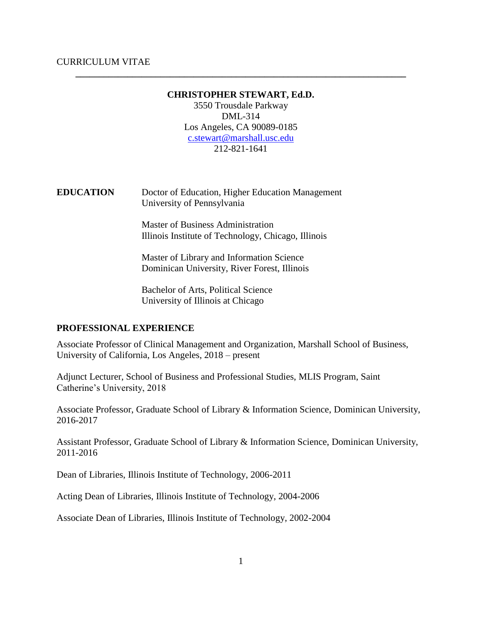## **CHRISTOPHER STEWART, Ed.D.**

**\_\_\_\_\_\_\_\_\_\_\_\_\_\_\_\_\_\_\_\_\_\_\_\_\_\_\_\_\_\_\_\_\_\_\_\_\_\_\_\_\_\_\_\_\_\_\_\_\_\_\_\_\_\_\_\_\_\_\_\_\_\_\_\_\_\_\_\_\_\_**

3550 Trousdale Parkway DML-314 Los Angeles, CA 90089-0185 [c.stewart@marshall.usc.edu](mailto:c.stewart@marshall.usc.edu) 212-821-1641

**EDUCATION** Doctor of Education, Higher Education Management University of Pennsylvania

> Master of Business Administration Illinois Institute of Technology, Chicago, Illinois

Master of Library and Information Science Dominican University, River Forest, Illinois

Bachelor of Arts, Political Science University of Illinois at Chicago

#### **PROFESSIONAL EXPERIENCE**

Associate Professor of Clinical Management and Organization, Marshall School of Business, University of California, Los Angeles, 2018 – present

Adjunct Lecturer, School of Business and Professional Studies, MLIS Program, Saint Catherine's University, 2018

Associate Professor, Graduate School of Library & Information Science, Dominican University, 2016-2017

Assistant Professor, Graduate School of Library & Information Science, Dominican University, 2011-2016

Dean of Libraries, Illinois Institute of Technology, 2006-2011

Acting Dean of Libraries, Illinois Institute of Technology, 2004-2006

Associate Dean of Libraries, Illinois Institute of Technology, 2002-2004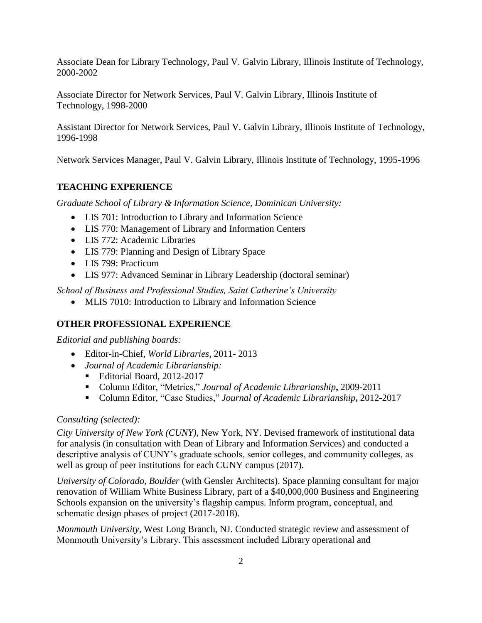Associate Dean for Library Technology, Paul V. Galvin Library, Illinois Institute of Technology, 2000-2002

Associate Director for Network Services, Paul V. Galvin Library, Illinois Institute of Technology, 1998-2000

Assistant Director for Network Services, Paul V. Galvin Library, Illinois Institute of Technology, 1996-1998

Network Services Manager, Paul V. Galvin Library, Illinois Institute of Technology, 1995-1996

## **TEACHING EXPERIENCE**

*Graduate School of Library & Information Science, Dominican University:* 

- LIS 701: Introduction to Library and Information Science
- LIS 770: Management of Library and Information Centers
- LIS 772: Academic Libraries
- LIS 779: Planning and Design of Library Space
- LIS 799: Practicum
- LIS 977: Advanced Seminar in Library Leadership (doctoral seminar)

*School of Business and Professional Studies, Saint Catherine's University*

MLIS 7010: Introduction to Library and Information Science

## **OTHER PROFESSIONAL EXPERIENCE**

*Editorial and publishing boards:*

- Editor-in-Chief, *World Libraries*, 2011- 2013
- *Journal of Academic Librarianship:*
	- Editorial Board, 2012-2017
	- Column Editor, "Metrics," *Journal of Academic Librarianship***,** 2009-2011
	- Column Editor, "Case Studies," *Journal of Academic Librarianship***,** 2012-2017

## *Consulting (selected):*

*City University of New York (CUNY),* New York, NY. Devised framework of institutional data for analysis (in consultation with Dean of Library and Information Services) and conducted a descriptive analysis of CUNY's graduate schools, senior colleges, and community colleges, as well as group of peer institutions for each CUNY campus (2017).

*University of Colorado, Boulder* (with Gensler Architects). Space planning consultant for major renovation of William White Business Library, part of a \$40,000,000 Business and Engineering Schools expansion on the university's flagship campus. Inform program, conceptual, and schematic design phases of project (2017-2018).

*Monmouth University*, West Long Branch, NJ. Conducted strategic review and assessment of Monmouth University's Library. This assessment included Library operational and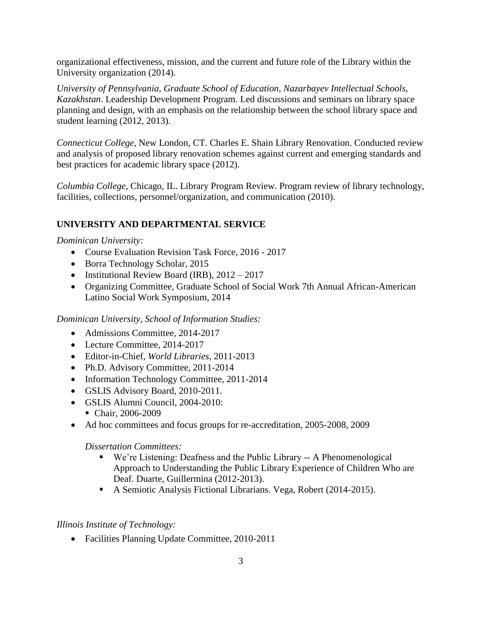organizational effectiveness, mission, and the current and future role of the Library within the University organization (2014).

*University of Pennsylvania, Graduate School of Education, Nazarbayev Intellectual Schools, Kazakhstan*. Leadership Development Program. Led discussions and seminars on library space planning and design, with an emphasis on the relationship between the school library space and student learning (2012, 2013).

*Connecticut College*, New London, CT. Charles E. Shain Library Renovation. Conducted review and analysis of proposed library renovation schemes against current and emerging standards and best practices for academic library space (2012).

*Columbia College*, Chicago, IL. Library Program Review. Program review of library technology, facilities, collections, personnel/organization, and communication (2010).

## **UNIVERSITY AND DEPARTMENTAL SERVICE**

*Dominican University:*

- Course Evaluation Revision Task Force, 2016 2017
- Borra Technology Scholar, 2015
- Institutional Review Board (IRB),  $2012 2017$
- Organizing Committee, Graduate School of Social Work 7th Annual African-American Latino Social Work Symposium, 2014

*Dominican University, School of Information Studies:*

- Admissions Committee, 2014-2017
- Lecture Committee, 2014-2017
- Editor-in-Chief, *World Libraries*, 2011-2013
- Ph.D. Advisory Committee, 2011-2014
- Information Technology Committee, 2011-2014
- GSLIS Advisory Board, 2010-2011.
- GSLIS Alumni Council, 2004-2010:
	- Chair, 2006-2009
- Ad hoc committees and focus groups for re-accreditation, 2005-2008, 2009

*Dissertation Committees:*

- We're Listening: Deafness and the Public Library -- A Phenomenological Approach to Understanding the Public Library Experience of Children Who are Deaf. Duarte, Guillermina (2012-2013).
- A Semiotic Analysis Fictional Librarians. Vega, Robert (2014-2015).

## *Illinois Institute of Technology:*

• Facilities Planning Update Committee, 2010-2011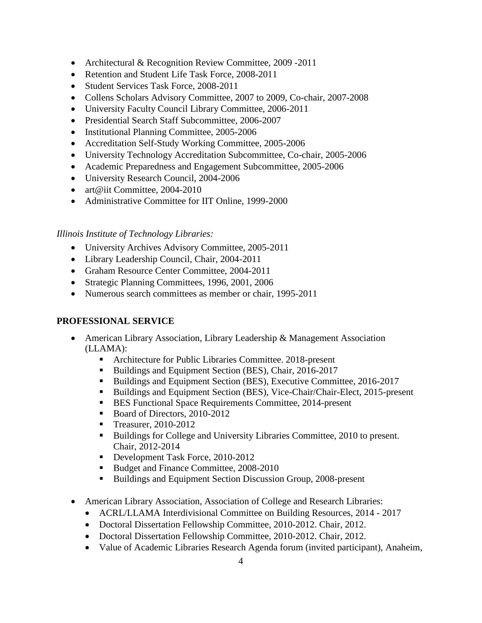- Architectural & Recognition Review Committee, 2009 -2011
- Retention and Student Life Task Force, 2008-2011
- Student Services Task Force, 2008-2011
- Collens Scholars Advisory Committee, 2007 to 2009, Co-chair, 2007-2008
- University Faculty Council Library Committee, 2006-2011
- Presidential Search Staff Subcommittee, 2006-2007
- Institutional Planning Committee, 2005-2006
- Accreditation Self-Study Working Committee, 2005-2006
- University Technology Accreditation Subcommittee, Co-chair, 2005-2006
- Academic Preparedness and Engagement Subcommittee, 2005-2006
- University Research Council, 2004-2006
- art@iit Committee, 2004-2010
- Administrative Committee for IIT Online, 1999-2000

## *Illinois Institute of Technology Libraries:*

- University Archives Advisory Committee, 2005-2011
- Library Leadership Council, Chair, 2004-2011
- Graham Resource Center Committee, 2004-2011
- Strategic Planning Committees, 1996, 2001, 2006
- Numerous search committees as member or chair, 1995-2011

## **PROFESSIONAL SERVICE**

- American Library Association, Library Leadership & Management Association (LLAMA):
	- Architecture for Public Libraries Committee. 2018-present
	- Buildings and Equipment Section (BES), Chair, 2016-2017
	- Buildings and Equipment Section (BES), Executive Committee, 2016-2017
	- Buildings and Equipment Section (BES), Vice-Chair/Chair-Elect, 2015-present
	- BES Functional Space Requirements Committee, 2014-present
	- Board of Directors, 2010-2012
	- **Treasurer, 2010-2012**
	- Buildings for College and University Libraries Committee, 2010 to present. Chair, 2012-2014
	- Development Task Force, 2010-2012
	- Budget and Finance Committee, 2008-2010
	- Buildings and Equipment Section Discussion Group, 2008-present
- American Library Association, Association of College and Research Libraries:
	- ACRL/LLAMA Interdivisional Committee on Building Resources, 2014 2017
	- Doctoral Dissertation Fellowship Committee, 2010-2012. Chair, 2012.
	- Doctoral Dissertation Fellowship Committee, 2010-2012. Chair, 2012.
	- Value of Academic Libraries Research Agenda forum (invited participant), Anaheim,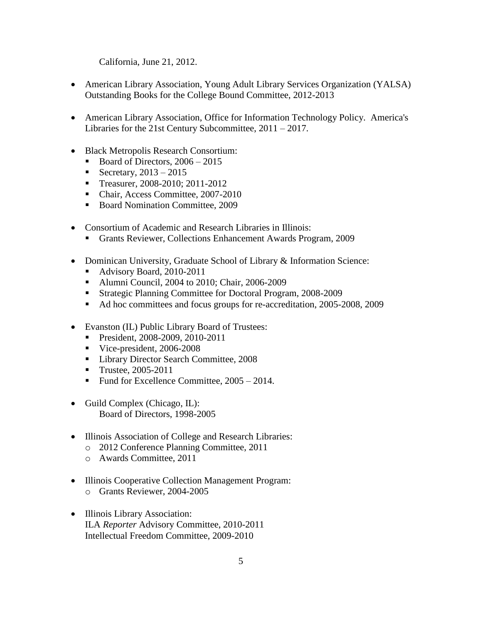California, June 21, 2012.

- American Library Association, Young Adult Library Services Organization (YALSA) Outstanding Books for the College Bound Committee, 2012-2013
- American Library Association, Office for Information Technology Policy. America's Libraries for the 21st Century Subcommittee, 2011 – 2017.
- Black Metropolis Research Consortium:
	- Board of Directors,  $2006 2015$
	- Secretary,  $2013 2015$
	- Treasurer, 2008-2010; 2011-2012
	- Chair, Access Committee, 2007-2010
	- Board Nomination Committee, 2009
- Consortium of Academic and Research Libraries in Illinois:
	- Grants Reviewer, Collections Enhancement Awards Program, 2009
- Dominican University, Graduate School of Library & Information Science:
	- Advisory Board, 2010-2011
	- Alumni Council, 2004 to 2010; Chair, 2006-2009
	- Strategic Planning Committee for Doctoral Program, 2008-2009
	- Ad hoc committees and focus groups for re-accreditation, 2005-2008, 2009
- Evanston (IL) Public Library Board of Trustees:
	- President, 2008-2009, 2010-2011
	- Vice-president, 2006-2008
	- **Library Director Search Committee, 2008**
	- Trustee, 2005-2011
	- Fund for Excellence Committee,  $2005 2014$ .
- Guild Complex (Chicago, IL): Board of Directors, 1998-2005
- Illinois Association of College and Research Libraries:
	- o 2012 Conference Planning Committee, 2011
	- o Awards Committee, 2011
- Illinois Cooperative Collection Management Program: o Grants Reviewer, 2004-2005
- Illinois Library Association: ILA *Reporter* Advisory Committee, 2010-2011 Intellectual Freedom Committee, 2009-2010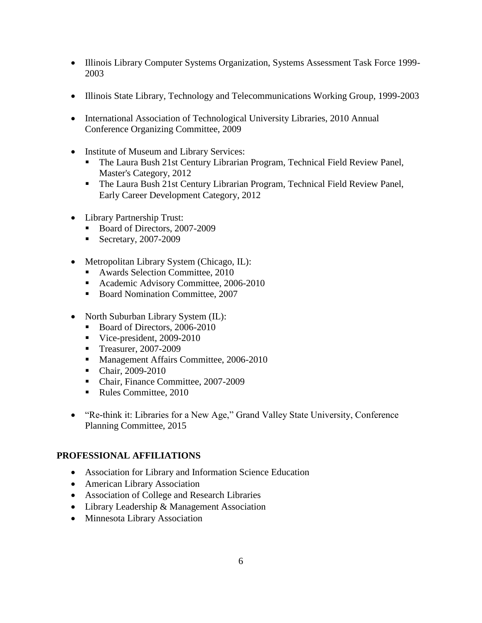- Illinois Library Computer Systems Organization, Systems Assessment Task Force 1999-2003
- Illinois State Library, Technology and Telecommunications Working Group, 1999-2003
- International Association of Technological University Libraries, 2010 Annual Conference Organizing Committee, 2009
- Institute of Museum and Library Services:
	- The Laura Bush 21st Century Librarian Program, Technical Field Review Panel, Master's Category, 2012
	- The Laura Bush 21st Century Librarian Program, Technical Field Review Panel, Early Career Development Category, 2012
- Library Partnership Trust:
	- Board of Directors, 2007-2009
	- Secretary, 2007-2009
- Metropolitan Library System (Chicago, IL):
	- Awards Selection Committee, 2010
	- **Academic Advisory Committee, 2006-2010**
	- Board Nomination Committee, 2007
- North Suburban Library System (IL):
	- Board of Directors, 2006-2010
	- Vice-president, 2009-2010
	- Treasurer, 2007-2009
	- **Management Affairs Committee, 2006-2010**
	- Chair, 2009-2010
	- Chair, Finance Committee, 2007-2009
	- Rules Committee, 2010
- "Re-think it: Libraries for a New Age," Grand Valley State University, Conference Planning Committee, 2015

## **PROFESSIONAL AFFILIATIONS**

- Association for Library and Information Science Education
- American Library Association
- Association of College and Research Libraries
- Library Leadership & Management Association
- Minnesota Library Association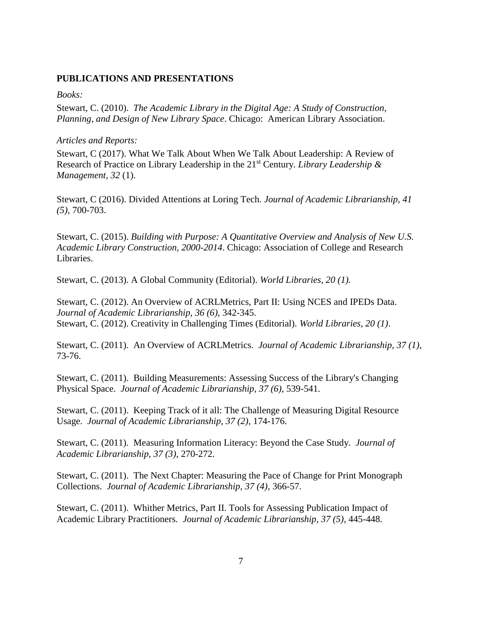### **PUBLICATIONS AND PRESENTATIONS**

### *Books:*

Stewart, C. (2010). *The Academic Library in the Digital Age: A Study of Construction, Planning, and Design of New Library Space*. Chicago: American Library Association.

#### *Articles and Reports:*

Stewart, C (2017). What We Talk About When We Talk About Leadership: A Review of Research of Practice on Library Leadership in the 21st Century*. Library Leadership & Management, 32* (1).

Stewart, C (2016). Divided Attentions at Loring Tech. *Journal of Academic Librarianship, 41 (5),* 700-703.

Stewart, C. (2015). *Building with Purpose: A Quantitative Overview and Analysis of New U.S. Academic Library Construction, 2000-2014*. Chicago: Association of College and Research Libraries.

Stewart, C. (2013). A Global Community (Editorial). *World Libraries, 20 (1).*

Stewart, C. (2012). An Overview of ACRLMetrics, Part II: Using NCES and IPEDs Data. *Journal of Academic Librarianship, 36 (6)*, 342-345. Stewart, C. (2012). Creativity in Challenging Times (Editorial). *World Libraries, 20 (1)*.

Stewart, C. (2011). An Overview of ACRLMetrics. *Journal of Academic Librarianship, 37 (1)*, 73-76.

Stewart, C. (2011). Building Measurements: Assessing Success of the Library's Changing Physical Space. *Journal of Academic Librarianship, 37 (6)*, 539-541.

Stewart, C. (2011). Keeping Track of it all: The Challenge of Measuring Digital Resource Usage. *Journal of Academic Librarianship, 37 (2)*, 174-176.

Stewart, C. (2011). Measuring Information Literacy: Beyond the Case Study. *Journal of Academic Librarianship, 37 (3)*, 270-272.

Stewart, C. (2011). The Next Chapter: Measuring the Pace of Change for Print Monograph Collections. *Journal of Academic Librarianship, 37 (4)*, 366-57.

Stewart, C. (2011). Whither Metrics, Part II. Tools for Assessing Publication Impact of Academic Library Practitioners. *Journal of Academic Librarianship, 37 (5)*, 445-448.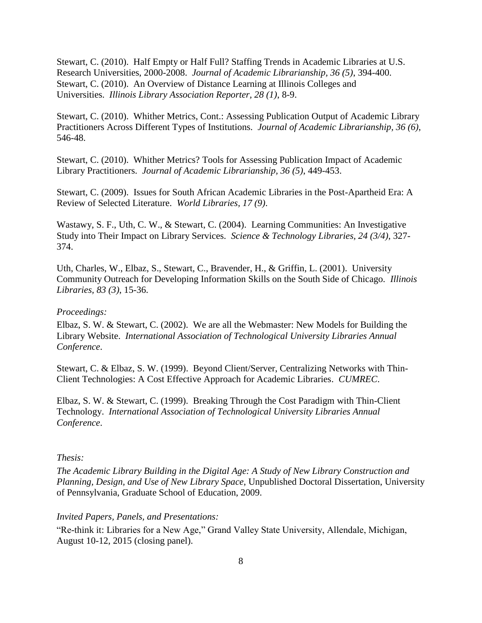Stewart, C. (2010). Half Empty or Half Full? Staffing Trends in Academic Libraries at U.S. Research Universities, 2000-2008. *Journal of Academic Librarianship, 36 (5)*, 394-400. Stewart, C. (2010). An Overview of Distance Learning at Illinois Colleges and Universities. *Illinois Library Association Reporter, 28 (1)*, 8-9.

Stewart, C. (2010). Whither Metrics, Cont.: Assessing Publication Output of Academic Library Practitioners Across Different Types of Institutions. *Journal of Academic Librarianship, 36 (6)*, 546-48.

Stewart, C. (2010). Whither Metrics? Tools for Assessing Publication Impact of Academic Library Practitioners. *Journal of Academic Librarianship, 36 (5)*, 449-453.

Stewart, C. (2009). Issues for South African Academic Libraries in the Post-Apartheid Era: A Review of Selected Literature. *World Libraries, 17 (9)*.

Wastawy, S. F., Uth, C. W., & Stewart, C. (2004). Learning Communities: An Investigative Study into Their Impact on Library Services. *Science & Technology Libraries, 24 (3/4)*, 327- 374.

Uth, Charles, W., Elbaz, S., Stewart, C., Bravender, H., & Griffin, L. (2001). University Community Outreach for Developing Information Skills on the South Side of Chicago. *Illinois Libraries, 83 (3)*, 15-36.

#### *Proceedings:*

Elbaz, S. W. & Stewart, C. (2002). We are all the Webmaster: New Models for Building the Library Website. *International Association of Technological University Libraries Annual Conference*.

Stewart, C. & Elbaz, S. W. (1999). Beyond Client/Server, Centralizing Networks with Thin-Client Technologies: A Cost Effective Approach for Academic Libraries. *CUMREC*.

Elbaz, S. W. & Stewart, C. (1999). Breaking Through the Cost Paradigm with Thin-Client Technology. *International Association of Technological University Libraries Annual Conference*.

### *Thesis:*

*The Academic Library Building in the Digital Age: A Study of New Library Construction and Planning, Design, and Use of New Library Space*, Unpublished Doctoral Dissertation, University of Pennsylvania, Graduate School of Education, 2009.

#### *Invited Papers, Panels, and Presentations:*

"Re-think it: Libraries for a New Age," Grand Valley State University, Allendale, Michigan, August 10-12, 2015 (closing panel).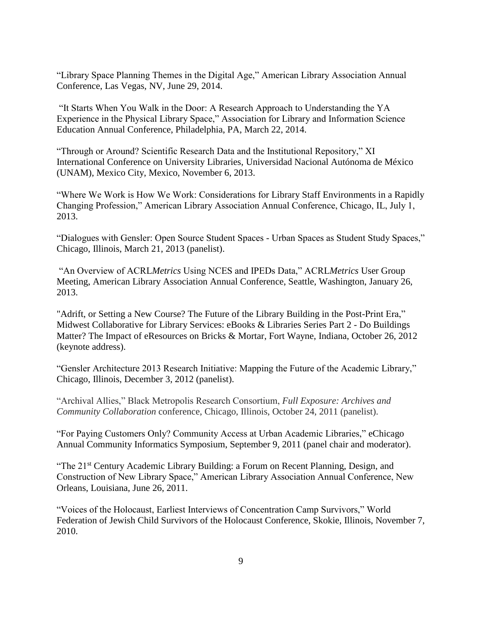"Library Space Planning Themes in the Digital Age," American Library Association Annual Conference, Las Vegas, NV, June 29, 2014.

"It Starts When You Walk in the Door: A Research Approach to Understanding the YA Experience in the Physical Library Space," Association for Library and Information Science Education Annual Conference, Philadelphia, PA, March 22, 2014.

"Through or Around? Scientific Research Data and the Institutional Repository," XI International Conference on University Libraries, Universidad Nacional Autónoma de México (UNAM), Mexico City, Mexico, November 6, 2013.

"Where We Work is How We Work: Considerations for Library Staff Environments in a Rapidly Changing Profession," American Library Association Annual Conference, Chicago, IL, July 1, 2013.

"Dialogues with Gensler: Open Source Student Spaces - Urban Spaces as Student Study Spaces," Chicago, Illinois, March 21, 2013 (panelist).

"An Overview of ACRL*Metrics* Using NCES and IPEDs Data," ACRL*Metrics* User Group Meeting, American Library Association Annual Conference, Seattle, Washington, January 26, 2013.

"Adrift, or Setting a New Course? The Future of the Library Building in the Post-Print Era," Midwest Collaborative for Library Services: eBooks & Libraries Series Part 2 - Do Buildings Matter? The Impact of eResources on Bricks & Mortar, Fort Wayne, Indiana, October 26, 2012 (keynote address).

"Gensler Architecture 2013 Research Initiative: Mapping the Future of the Academic Library," Chicago, Illinois, December 3, 2012 (panelist).

"Archival Allies," Black Metropolis Research Consortium, *Full Exposure: Archives and Community Collaboration* conference, Chicago, Illinois, October 24, 2011 (panelist).

"For Paying Customers Only? Community Access at Urban Academic Libraries," eChicago Annual Community Informatics Symposium, September 9, 2011 (panel chair and moderator).

"The 21<sup>st</sup> Century Academic Library Building: a Forum on Recent Planning, Design, and Construction of New Library Space," American Library Association Annual Conference, New Orleans, Louisiana, June 26, 2011.

"Voices of the Holocaust, Earliest Interviews of Concentration Camp Survivors," World Federation of Jewish Child Survivors of the Holocaust Conference, Skokie, Illinois, November 7, 2010.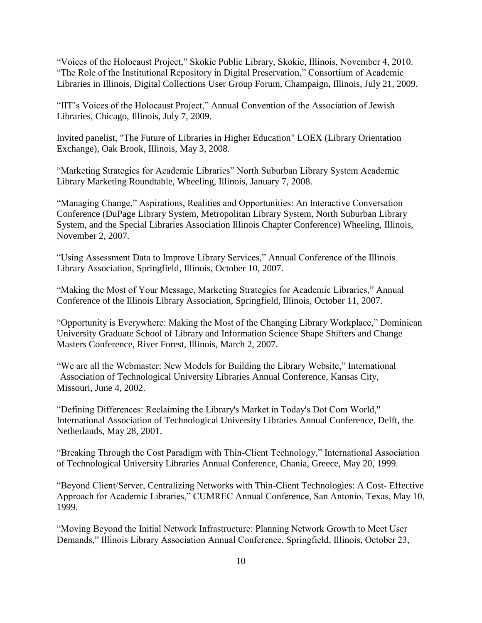"Voices of the Holocaust Project," Skokie Public Library, Skokie, Illinois, November 4, 2010. "The Role of the Institutional Repository in Digital Preservation," Consortium of Academic Libraries in Illinois, Digital Collections User Group Forum, Champaign, Illinois, July 21, 2009.

"IIT's Voices of the Holocaust Project," Annual Convention of the Association of Jewish Libraries, Chicago, Illinois, July 7, 2009.

Invited panelist, "The Future of Libraries in Higher Education" LOEX (Library Orientation Exchange), Oak Brook, Illinois, May 3, 2008.

"Marketing Strategies for Academic Libraries" North Suburban Library System Academic Library Marketing Roundtable, Wheeling, Illinois, January 7, 2008.

"Managing Change," Aspirations, Realities and Opportunities: An Interactive Conversation Conference (DuPage Library System, Metropolitan Library System, North Suburban Library System, and the Special Libraries Association Illinois Chapter Conference) Wheeling, Illinois, November 2, 2007.

"Using Assessment Data to Improve Library Services," Annual Conference of the Illinois Library Association, Springfield, Illinois, October 10, 2007.

"Making the Most of Your Message, Marketing Strategies for Academic Libraries," Annual Conference of the Illinois Library Association, Springfield, Illinois, October 11, 2007.

"Opportunity is Everywhere: Making the Most of the Changing Library Workplace," Dominican University Graduate School of Library and Information Science Shape Shifters and Change Masters Conference, River Forest, Illinois, March 2, 2007.

"We are all the Webmaster: New Models for Building the Library Website," International Association of Technological University Libraries Annual Conference, Kansas City, Missouri, June 4, 2002.

"Defining Differences: Reclaiming the Library's Market in Today's Dot Com World," International Association of Technological University Libraries Annual Conference, Delft, the Netherlands, May 28, 2001.

"Breaking Through the Cost Paradigm with Thin-Client Technology," International Association of Technological University Libraries Annual Conference, Chania, Greece, May 20, 1999.

"Beyond Client/Server, Centralizing Networks with Thin-Client Technologies: A Cost- Effective Approach for Academic Libraries," CUMREC Annual Conference, San Antonio, Texas, May 10, 1999.

"Moving Beyond the Initial Network Infrastructure: Planning Network Growth to Meet User Demands," Illinois Library Association Annual Conference, Springfield, Illinois, October 23,